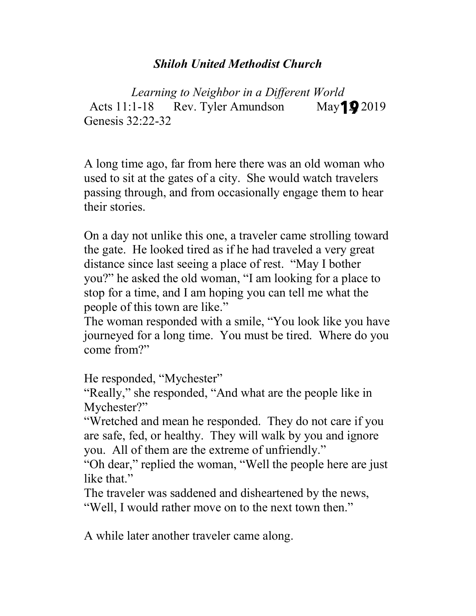## *Shiloh United Methodist Church*

*Learning to Neighbor in a Different World* Acts  $11:1-18$  Rev. Tyler Amundson Genesis 32:22-32 May **19** 2019

A long time ago, far from here there was an old woman who used to sit at the gates of a city. She would watch travelers passing through, and from occasionally engage them to hear their stories.

On a day not unlike this one, a traveler came strolling toward the gate. He looked tired as if he had traveled a very great distance since last seeing a place of rest. "May I bother you?" he asked the old woman, "I am looking for a place to stop for a time, and I am hoping you can tell me what the people of this town are like."

The woman responded with a smile, "You look like you have journeyed for a long time. You must be tired. Where do you come from?"

He responded, "Mychester"

"Really," she responded, "And what are the people like in Mychester?"

"Wretched and mean he responded. They do not care if you are safe, fed, or healthy. They will walk by you and ignore you. All of them are the extreme of unfriendly."

"Oh dear," replied the woman, "Well the people here are just like that."

The traveler was saddened and disheartened by the news, "Well, I would rather move on to the next town then."

A while later another traveler came along.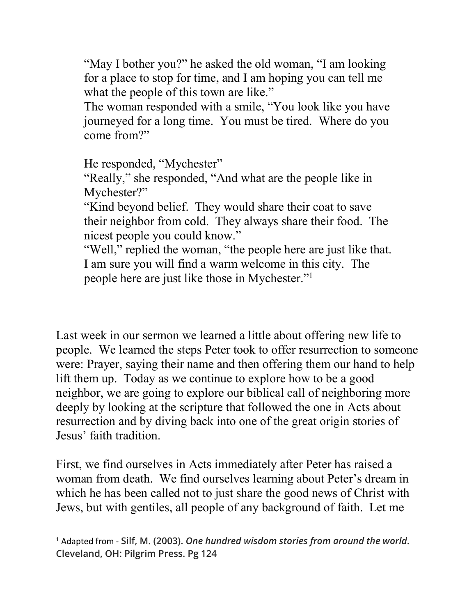"May I bother you?" he asked the old woman, "I am looking for a place to stop for time, and I am hoping you can tell me what the people of this town are like."

The woman responded with a smile, "You look like you have journeyed for a long time. You must be tired. Where do you come from?"

He responded, "Mychester"

"Really," she responded, "And what are the people like in Mychester?"

"Kind beyond belief. They would share their coat to save their neighbor from cold. They always share their food. The nicest people you could know."

"Well," replied the woman, "the people here are just like that. I am sure you will find a warm welcome in this city. The people here are just like those in Mychester."1

Last week in our sermon we learned a little about offering new life to people. We learned the steps Peter took to offer resurrection to someone were: Prayer, saying their name and then offering them our hand to help lift them up. Today as we continue to explore how to be a good neighbor, we are going to explore our biblical call of neighboring more deeply by looking at the scripture that followed the one in Acts about resurrection and by diving back into one of the great origin stories of Jesus' faith tradition.

First, we find ourselves in Acts immediately after Peter has raised a woman from death. We find ourselves learning about Peter's dream in which he has been called not to just share the good news of Christ with Jews, but with gentiles, all people of any background of faith. Let me

 <sup>1</sup> Adapted from - **Silf, M. (2003).** *One hundred wisdom stories from around the world***. Cleveland, OH: Pilgrim Press. Pg 124**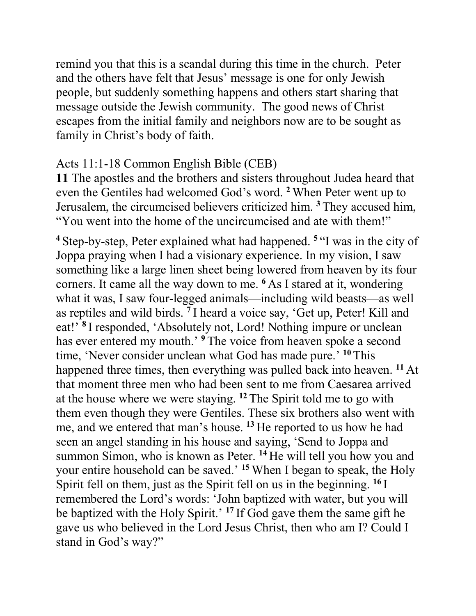remind you that this is a scandal during this time in the church. Peter and the others have felt that Jesus' message is one for only Jewish people, but suddenly something happens and others start sharing that message outside the Jewish community. The good news of Christ escapes from the initial family and neighbors now are to be sought as family in Christ's body of faith.

## Acts 11:1-18 Common English Bible (CEB)

**11** The apostles and the brothers and sisters throughout Judea heard that even the Gentiles had welcomed God's word. **<sup>2</sup>** When Peter went up to Jerusalem, the circumcised believers criticized him. **<sup>3</sup>** They accused him, "You went into the home of the uncircumcised and ate with them!"

**<sup>4</sup>** Step-by-step, Peter explained what had happened. **<sup>5</sup>** "I was in the city of Joppa praying when I had a visionary experience. In my vision, I saw something like a large linen sheet being lowered from heaven by its four corners. It came all the way down to me. **<sup>6</sup>** As I stared at it, wondering what it was, I saw four-legged animals—including wild beasts—as well as reptiles and wild birds. **<sup>7</sup>** I heard a voice say, 'Get up, Peter! Kill and eat!' **<sup>8</sup>** I responded, 'Absolutely not, Lord! Nothing impure or unclean has ever entered my mouth.<sup>9</sup> The voice from heaven spoke a second time, 'Never consider unclean what God has made pure.' **<sup>10</sup>**This happened three times, then everything was pulled back into heaven. **<sup>11</sup>** At that moment three men who had been sent to me from Caesarea arrived at the house where we were staying. **<sup>12</sup>** The Spirit told me to go with them even though they were Gentiles. These six brothers also went with me, and we entered that man's house. **<sup>13</sup>** He reported to us how he had seen an angel standing in his house and saying, 'Send to Joppa and summon Simon, who is known as Peter. **<sup>14</sup>** He will tell you how you and your entire household can be saved.' **<sup>15</sup>** When I began to speak, the Holy Spirit fell on them, just as the Spirit fell on us in the beginning. **<sup>16</sup>** I remembered the Lord's words: 'John baptized with water, but you will be baptized with the Holy Spirit.' **<sup>17</sup>** If God gave them the same gift he gave us who believed in the Lord Jesus Christ, then who am I? Could I stand in God's way?"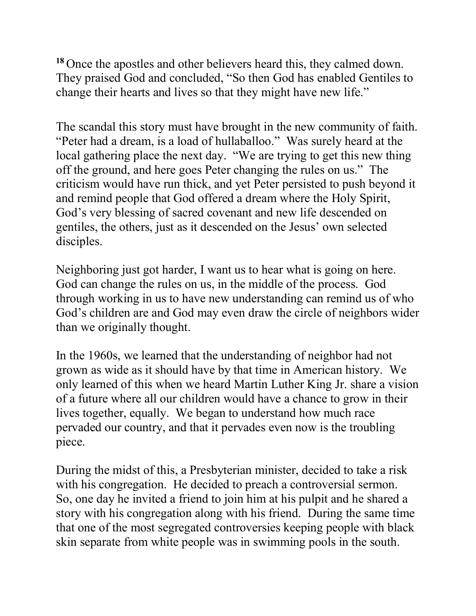**<sup>18</sup>** Once the apostles and other believers heard this, they calmed down. They praised God and concluded, "So then God has enabled Gentiles to change their hearts and lives so that they might have new life."

The scandal this story must have brought in the new community of faith. "Peter had a dream, is a load of hullaballoo." Was surely heard at the local gathering place the next day. "We are trying to get this new thing off the ground, and here goes Peter changing the rules on us." The criticism would have run thick, and yet Peter persisted to push beyond it and remind people that God offered a dream where the Holy Spirit, God's very blessing of sacred covenant and new life descended on gentiles, the others, just as it descended on the Jesus' own selected disciples.

Neighboring just got harder, I want us to hear what is going on here. God can change the rules on us, in the middle of the process. God through working in us to have new understanding can remind us of who God's children are and God may even draw the circle of neighbors wider than we originally thought.

In the 1960s, we learned that the understanding of neighbor had not grown as wide as it should have by that time in American history. We only learned of this when we heard Martin Luther King Jr. share a vision of a future where all our children would have a chance to grow in their lives together, equally. We began to understand how much race pervaded our country, and that it pervades even now is the troubling piece.

During the midst of this, a Presbyterian minister, decided to take a risk with his congregation. He decided to preach a controversial sermon. So, one day he invited a friend to join him at his pulpit and he shared a story with his congregation along with his friend. During the same time that one of the most segregated controversies keeping people with black skin separate from white people was in swimming pools in the south.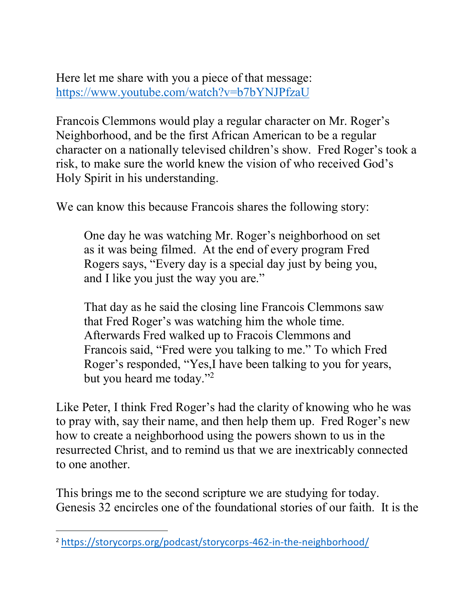Here let me share with you a piece of that message: https://www.youtube.com/watch?v=b7bYNJPfzaU

Francois Clemmons would play a regular character on Mr. Roger's Neighborhood, and be the first African American to be a regular character on a nationally televised children's show. Fred Roger's took a risk, to make sure the world knew the vision of who received God's Holy Spirit in his understanding.

We can know this because Francois shares the following story:

One day he was watching Mr. Roger's neighborhood on set as it was being filmed. At the end of every program Fred Rogers says, "Every day is a special day just by being you, and I like you just the way you are."

That day as he said the closing line Francois Clemmons saw that Fred Roger's was watching him the whole time. Afterwards Fred walked up to Fracois Clemmons and Francois said, "Fred were you talking to me." To which Fred Roger's responded, "Yes,I have been talking to you for years, but you heard me today."2

Like Peter, I think Fred Roger's had the clarity of knowing who he was to pray with, say their name, and then help them up. Fred Roger's new how to create a neighborhood using the powers shown to us in the resurrected Christ, and to remind us that we are inextricably connected to one another.

This brings me to the second scripture we are studying for today. Genesis 32 encircles one of the foundational stories of our faith. It is the

 $\overline{a}$ 

<sup>2</sup> https://storycorps.org/podcast/storycorps-462-in-the-neighborhood/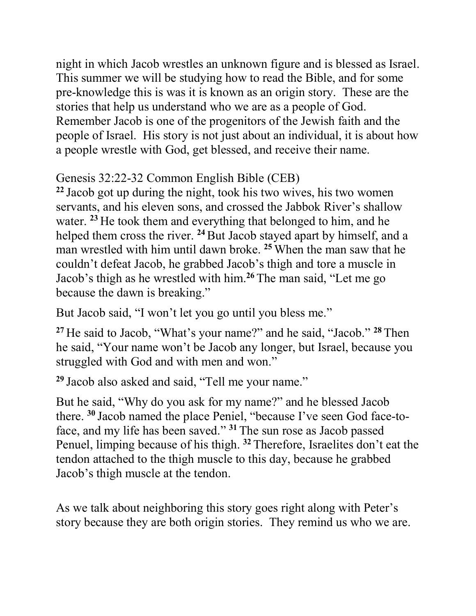night in which Jacob wrestles an unknown figure and is blessed as Israel. This summer we will be studying how to read the Bible, and for some pre-knowledge this is was it is known as an origin story. These are the stories that help us understand who we are as a people of God. Remember Jacob is one of the progenitors of the Jewish faith and the people of Israel. His story is not just about an individual, it is about how a people wrestle with God, get blessed, and receive their name.

## Genesis 32:22-32 Common English Bible (CEB)

**<sup>22</sup>** Jacob got up during the night, took his two wives, his two women servants, and his eleven sons, and crossed the Jabbok River's shallow water. **<sup>23</sup>** He took them and everything that belonged to him, and he helped them cross the river. <sup>24</sup> But Jacob stayed apart by himself, and a man wrestled with him until dawn broke. **<sup>25</sup>** When the man saw that he couldn't defeat Jacob, he grabbed Jacob's thigh and tore a muscle in Jacob's thigh as he wrestled with him. **<sup>26</sup>** The man said, "Let me go because the dawn is breaking."

But Jacob said, "I won't let you go until you bless me."

**<sup>27</sup>** He said to Jacob, "What's your name?" and he said, "Jacob." **<sup>28</sup>**Then he said, "Your name won't be Jacob any longer, but Israel, because you struggled with God and with men and won."

**<sup>29</sup>** Jacob also asked and said, "Tell me your name."

But he said, "Why do you ask for my name?" and he blessed Jacob there. **<sup>30</sup>** Jacob named the place Peniel, "because I've seen God face-toface, and my life has been saved." **<sup>31</sup>** The sun rose as Jacob passed Penuel, limping because of his thigh. **<sup>32</sup>** Therefore, Israelites don't eat the tendon attached to the thigh muscle to this day, because he grabbed Jacob's thigh muscle at the tendon.

As we talk about neighboring this story goes right along with Peter's story because they are both origin stories. They remind us who we are.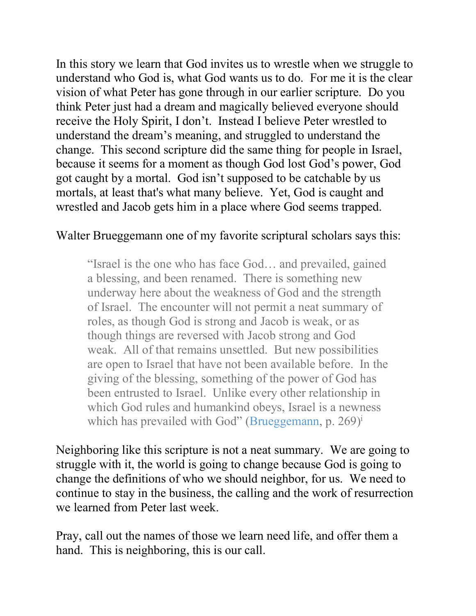In this story we learn that God invites us to wrestle when we struggle to understand who God is, what God wants us to do. For me it is the clear vision of what Peter has gone through in our earlier scripture. Do you think Peter just had a dream and magically believed everyone should receive the Holy Spirit, I don't. Instead I believe Peter wrestled to understand the dream's meaning, and struggled to understand the change. This second scripture did the same thing for people in Israel, because it seems for a moment as though God lost God's power, God got caught by a mortal. God isn't supposed to be catchable by us mortals, at least that's what many believe. Yet, God is caught and wrestled and Jacob gets him in a place where God seems trapped.

## Walter Brueggemann one of my favorite scriptural scholars says this:

"Israel is the one who has face God… and prevailed, gained a blessing, and been renamed. There is something new underway here about the weakness of God and the strength of Israel. The encounter will not permit a neat summary of roles, as though God is strong and Jacob is weak, or as though things are reversed with Jacob strong and God weak. All of that remains unsettled. But new possibilities are open to Israel that have not been available before. In the giving of the blessing, something of the power of God has been entrusted to Israel. Unlike every other relationship in which God rules and humankind obeys, Israel is a newness which has prevailed with God" (Brueggemann, p.  $269$ )<sup>i</sup>

Neighboring like this scripture is not a neat summary. We are going to struggle with it, the world is going to change because God is going to change the definitions of who we should neighbor, for us. We need to continue to stay in the business, the calling and the work of resurrection we learned from Peter last week.

Pray, call out the names of those we learn need life, and offer them a hand. This is neighboring, this is our call.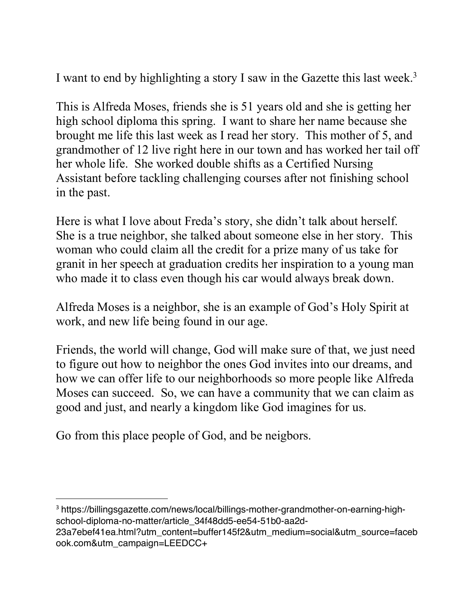I want to end by highlighting a story I saw in the Gazette this last week.<sup>3</sup>

This is Alfreda Moses, friends she is 51 years old and she is getting her high school diploma this spring. I want to share her name because she brought me life this last week as I read her story. This mother of 5, and grandmother of 12 live right here in our town and has worked her tail off her whole life. She worked double shifts as a Certified Nursing Assistant before tackling challenging courses after not finishing school in the past.

Here is what I love about Freda's story, she didn't talk about herself. She is a true neighbor, she talked about someone else in her story. This woman who could claim all the credit for a prize many of us take for granit in her speech at graduation credits her inspiration to a young man who made it to class even though his car would always break down.

Alfreda Moses is a neighbor, she is an example of God's Holy Spirit at work, and new life being found in our age.

Friends, the world will change, God will make sure of that, we just need to figure out how to neighbor the ones God invites into our dreams, and how we can offer life to our neighborhoods so more people like Alfreda Moses can succeed. So, we can have a community that we can claim as good and just, and nearly a kingdom like God imagines for us.

Go from this place people of God, and be neigbors.

 <sup>3</sup> https://billingsgazette.com/news/local/billings-mother-grandmother-on-earning-highschool-diploma-no-matter/article\_34f48dd5-ee54-51b0-aa2d-

<sup>23</sup>a7ebef41ea.html?utm\_content=buffer145f2&utm\_medium=social&utm\_source=faceb ook.com&utm\_campaign=LEEDCC+